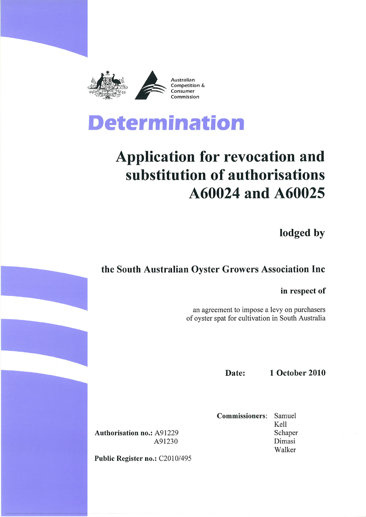



# **Application for revocation and** substitution of authorisations A60024 and A60025

lodged by

## the South Australian Oyster Growers Association Inc

in respect of

an agreement to impose a levy on purchasers of oyster spat for cultivation in South Australia

Date:

**1 October 2010** 

**Commissioners:** Samuel Kell Schaper Dimasi Walker

**Authorisation no.: A91229** A91230

Public Register no.: C2010/495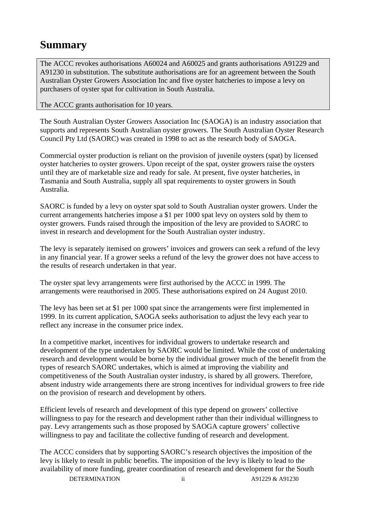## **Summary**

The ACCC revokes authorisations A60024 and A60025 and grants authorisations A91229 and A91230 in substitution. The substitute authorisations are for an agreement between the South Australian Oyster Growers Association Inc and five oyster hatcheries to impose a levy on purchasers of oyster spat for cultivation in South Australia.

The ACCC grants authorisation for 10 years.

The South Australian Oyster Growers Association Inc (SAOGA) is an industry association that supports and represents South Australian oyster growers. The South Australian Oyster Research Council Pty Ltd (SAORC) was created in 1998 to act as the research body of SAOGA.

Commercial oyster production is reliant on the provision of juvenile oysters (spat) by licensed oyster hatcheries to oyster growers. Upon receipt of the spat, oyster growers raise the oysters until they are of marketable size and ready for sale. At present, five oyster hatcheries, in Tasmania and South Australia, supply all spat requirements to oyster growers in South Australia.

SAORC is funded by a levy on oyster spat sold to South Australian oyster growers. Under the current arrangements hatcheries impose a \$1 per 1000 spat levy on oysters sold by them to oyster growers. Funds raised through the imposition of the levy are provided to SAORC to invest in research and development for the South Australian oyster industry.

The levy is separately itemised on growers' invoices and growers can seek a refund of the levy in any financial year. If a grower seeks a refund of the levy the grower does not have access to the results of research undertaken in that year.

The oyster spat levy arrangements were first authorised by the ACCC in 1999. The arrangements were reauthorised in 2005. These authorisations expired on 24 August 2010.

The levy has been set at \$1 per 1000 spat since the arrangements were first implemented in 1999. In its current application, SAOGA seeks authorisation to adjust the levy each year to reflect any increase in the consumer price index.

In a competitive market, incentives for individual growers to undertake research and development of the type undertaken by SAORC would be limited. While the cost of undertaking research and development would be borne by the individual grower much of the benefit from the types of research SAORC undertakes, which is aimed at improving the viability and competitiveness of the South Australian oyster industry, is shared by all growers. Therefore, absent industry wide arrangements there are strong incentives for individual growers to free ride on the provision of research and development by others.

Efficient levels of research and development of this type depend on growers' collective willingness to pay for the research and development rather than their individual willingness to pay. Levy arrangements such as those proposed by SAOGA capture growers' collective willingness to pay and facilitate the collective funding of research and development.

The ACCC considers that by supporting SAORC's research objectives the imposition of the levy is likely to result in public benefits. The imposition of the levy is likely to lead to the availability of more funding, greater coordination of research and development for the South

DETERMINATION ii A91229 & A91230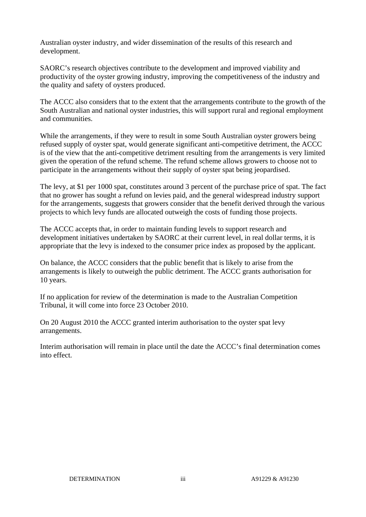Australian oyster industry, and wider dissemination of the results of this research and development.

SAORC's research objectives contribute to the development and improved viability and productivity of the oyster growing industry, improving the competitiveness of the industry and the quality and safety of oysters produced.

The ACCC also considers that to the extent that the arrangements contribute to the growth of the South Australian and national oyster industries, this will support rural and regional employment and communities.

While the arrangements, if they were to result in some South Australian oyster growers being refused supply of oyster spat, would generate significant anti-competitive detriment, the ACCC is of the view that the anti-competitive detriment resulting from the arrangements is very limited given the operation of the refund scheme. The refund scheme allows growers to choose not to participate in the arrangements without their supply of oyster spat being jeopardised.

The levy, at \$1 per 1000 spat, constitutes around 3 percent of the purchase price of spat. The fact that no grower has sought a refund on levies paid, and the general widespread industry support for the arrangements, suggests that growers consider that the benefit derived through the various projects to which levy funds are allocated outweigh the costs of funding those projects.

The ACCC accepts that, in order to maintain funding levels to support research and development initiatives undertaken by SAORC at their current level, in real dollar terms, it is appropriate that the levy is indexed to the consumer price index as proposed by the applicant.

On balance, the ACCC considers that the public benefit that is likely to arise from the arrangements is likely to outweigh the public detriment. The ACCC grants authorisation for 10 years.

If no application for review of the determination is made to the Australian Competition Tribunal, it will come into force 23 October 2010.

On 20 August 2010 the ACCC granted interim authorisation to the oyster spat levy arrangements.

Interim authorisation will remain in place until the date the ACCC's final determination comes into effect.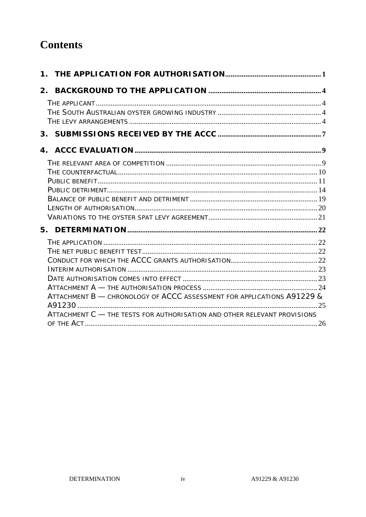## **Contents**

|  | ATTACHMENT B - CHRONOLOGY OF ACCC ASSESSMENT FOR APPLICATIONS A91229 &   |  |
|--|--------------------------------------------------------------------------|--|
|  |                                                                          |  |
|  | ATTACHMENT C - THE TESTS FOR AUTHORISATION AND OTHER RELEVANT PROVISIONS |  |
|  |                                                                          |  |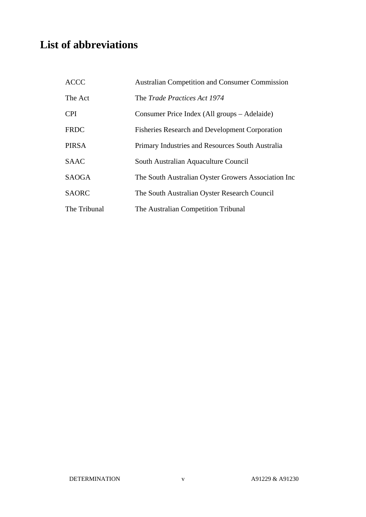## **List of abbreviations**

| <b>ACCC</b>  | <b>Australian Competition and Consumer Commission</b> |
|--------------|-------------------------------------------------------|
| The Act      | The <i>Trade Practices Act 1974</i>                   |
| <b>CPI</b>   | Consumer Price Index (All groups – Adelaide)          |
| <b>FRDC</b>  | <b>Fisheries Research and Development Corporation</b> |
| <b>PIRSA</b> | Primary Industries and Resources South Australia      |
| <b>SAAC</b>  | South Australian Aquaculture Council                  |
| <b>SAOGA</b> | The South Australian Oyster Growers Association Inc   |
| <b>SAORC</b> | The South Australian Oyster Research Council          |
| The Tribunal | The Australian Competition Tribunal                   |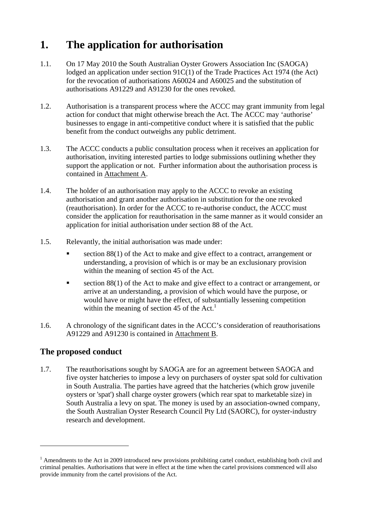## **1. The application for authorisation**

- 1.1. On 17 May 2010 the South Australian Oyster Growers Association Inc (SAOGA) lodged an application under section 91C(1) of the Trade Practices Act 1974 (the Act) for the revocation of authorisations A60024 and A60025 and the substitution of authorisations A91229 and A91230 for the ones revoked.
- 1.2. Authorisation is a transparent process where the ACCC may grant immunity from legal action for conduct that might otherwise breach the Act. The ACCC may 'authorise' businesses to engage in anti-competitive conduct where it is satisfied that the public benefit from the conduct outweighs any public detriment.
- 1.3. The ACCC conducts a public consultation process when it receives an application for authorisation, inviting interested parties to lodge submissions outlining whether they support the application or not. Further information about the authorisation process is contained in Attachment A.
- 1.4. The holder of an authorisation may apply to the ACCC to revoke an existing authorisation and grant another authorisation in substitution for the one revoked (reauthorisation). In order for the ACCC to re-authorise conduct, the ACCC must consider the application for reauthorisation in the same manner as it would consider an application for initial authorisation under section 88 of the Act.
- 1.5. Relevantly, the initial authorisation was made under:
	- section 88(1) of the Act to make and give effect to a contract, arrangement or understanding, a provision of which is or may be an exclusionary provision within the meaning of section 45 of the Act.
	- section 88(1) of the Act to make and give effect to a contract or arrangement, or arrive at an understanding, a provision of which would have the purpose, or would have or might have the effect, of substantially lessening competition within the meaning of section 45 of the  $Act.$ <sup>1</sup>
- 1.6. A chronology of the significant dates in the ACCC's consideration of reauthorisations A91229 and A91230 is contained in Attachment B.

### **The proposed conduct**

 $\overline{a}$ 

1.7. The reauthorisations sought by SAOGA are for an agreement between SAOGA and five oyster hatcheries to impose a levy on purchasers of oyster spat sold for cultivation in South Australia. The parties have agreed that the hatcheries (which grow juvenile oysters or 'spat') shall charge oyster growers (which rear spat to marketable size) in South Australia a levy on spat. The money is used by an association-owned company, the South Australian Oyster Research Council Pty Ltd (SAORC), for oyster-industry research and development.

<sup>&</sup>lt;sup>1</sup> Amendments to the Act in 2009 introduced new provisions prohibiting cartel conduct, establishing both civil and criminal penalties. Authorisations that were in effect at the time when the cartel provisions commenced will also provide immunity from the cartel provisions of the Act.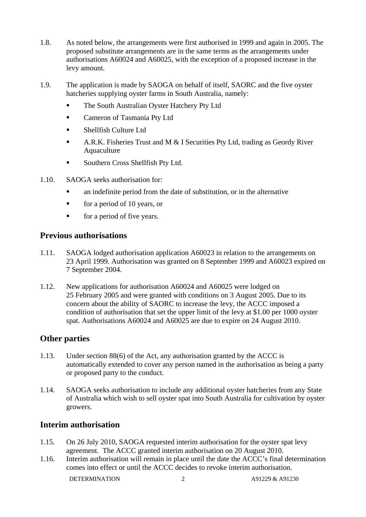- 1.8. As noted below, the arrangements were first authorised in 1999 and again in 2005. The proposed substitute arrangements are in the same terms as the arrangements under authorisations A60024 and A60025, with the exception of a proposed increase in the levy amount.
- 1.9. The application is made by SAOGA on behalf of itself, SAORC and the five oyster hatcheries supplying oyster farms in South Australia, namely:
	- The South Australian Oyster Hatchery Pty Ltd
	- Cameron of Tasmania Pty Ltd
	- Shellfish Culture Ltd
	- A.R.K. Fisheries Trust and M  $&$  I Securities Pty Ltd, trading as Geordy River Aquaculture
	- **Southern Cross Shellfish Pty Ltd.**
- 1.10. SAOGA seeks authorisation for:
	- an indefinite period from the date of substitution, or in the alternative
	- $\blacksquare$  for a period of 10 years, or
	- for a period of five years.

#### **Previous authorisations**

- 1.11. SAOGA lodged authorisation application A60023 in relation to the arrangements on 23 April 1999. Authorisation was granted on 8 September 1999 and A60023 expired on 7 September 2004.
- 1.12. New applications for authorisation A60024 and A60025 were lodged on 25 February 2005 and were granted with conditions on 3 August 2005. Due to its concern about the ability of SAORC to increase the levy, the ACCC imposed a condition of authorisation that set the upper limit of the levy at \$1.00 per 1000 oyster spat. Authorisations A60024 and A60025 are due to expire on 24 August 2010.

#### **Other parties**

- 1.13. Under section 88(6) of the Act, any authorisation granted by the ACCC is automatically extended to cover any person named in the authorisation as being a party or proposed party to the conduct.
- 1.14. SAOGA seeks authorisation to include any additional oyster hatcheries from any State of Australia which wish to sell oyster spat into South Australia for cultivation by oyster growers.

#### **Interim authorisation**

- 1.15. On 26 July 2010, SAOGA requested interim authorisation for the oyster spat levy agreement. The ACCC granted interim authorisation on 20 August 2010.
- 1.16. Interim authorisation will remain in place until the date the ACCC's final determination comes into effect or until the ACCC decides to revoke interim authorisation.

DETERMINATION 2 A91229 & A91230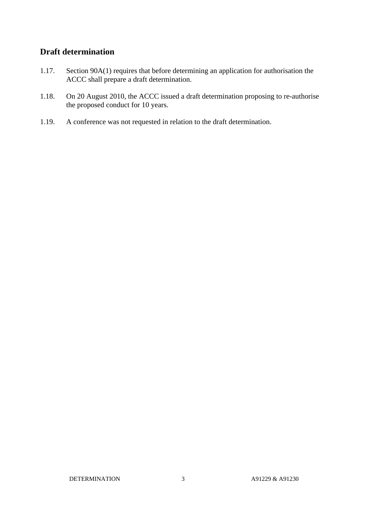### **Draft determination**

- 1.17. Section 90A(1) requires that before determining an application for authorisation the ACCC shall prepare a draft determination.
- 1.18. On 20 August 2010, the ACCC issued a draft determination proposing to re-authorise the proposed conduct for 10 years.
- 1.19. A conference was not requested in relation to the draft determination.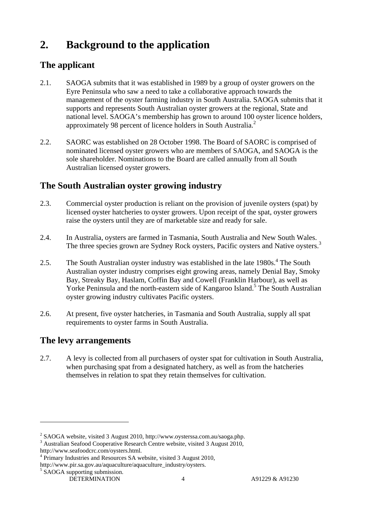## **2. Background to the application**

## **The applicant**

- 2.1. SAOGA submits that it was established in 1989 by a group of oyster growers on the Eyre Peninsula who saw a need to take a collaborative approach towards the management of the oyster farming industry in South Australia. SAOGA submits that it supports and represents South Australian oyster growers at the regional, State and national level. SAOGA's membership has grown to around 100 oyster licence holders, approximately 98 percent of licence holders in South Australia.<sup>2</sup>
- 2.2. SAORC was established on 28 October 1998. The Board of SAORC is comprised of nominated licensed oyster growers who are members of SAOGA, and SAOGA is the sole shareholder. Nominations to the Board are called annually from all South Australian licensed oyster growers.

## **The South Australian oyster growing industry**

- 2.3. Commercial oyster production is reliant on the provision of juvenile oysters (spat) by licensed oyster hatcheries to oyster growers. Upon receipt of the spat, oyster growers raise the oysters until they are of marketable size and ready for sale.
- 2.4. In Australia, oysters are farmed in Tasmania, South Australia and New South Wales. The three species grown are Sydney Rock oysters, Pacific oysters and Native oysters.<sup>3</sup>
- 2.5. The South Australian oyster industry was established in the late  $1980s<sup>4</sup>$ . The South Australian oyster industry comprises eight growing areas, namely Denial Bay, Smoky Bay, Streaky Bay, Haslam, Coffin Bay and Cowell (Franklin Harbour), as well as Yorke Peninsula and the north-eastern side of Kangaroo Island.<sup>5</sup> The South Australian oyster growing industry cultivates Pacific oysters.
- 2.6. At present, five oyster hatcheries, in Tasmania and South Australia, supply all spat requirements to oyster farms in South Australia.

### **The levy arrangements**

2.7. A levy is collected from all purchasers of oyster spat for cultivation in South Australia, when purchasing spat from a designated hatchery, as well as from the hatcheries themselves in relation to spat they retain themselves for cultivation.

<sup>&</sup>lt;sup>2</sup> SAOGA website, visited 3 August 2010, http://www.oysterssa.com.au/saoga.php.  $\frac{3}{2}$  August 2010

<sup>&</sup>lt;sup>3</sup> Australian Seafood Cooperative Research Centre website, visited 3 August 2010, http://www.seafoodcrc.com/oysters.html. 4

<sup>&</sup>lt;sup>4</sup> Primary Industries and Resources SA website, visited 3 August 2010,

http://www.pir.sa.gov.au/aquaculture/aquaculture\_industry/oysters.

<sup>&</sup>lt;sup>5</sup> SAOGA supporting submission.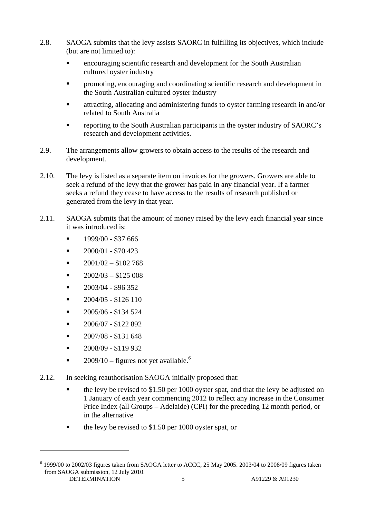- 2.8. SAOGA submits that the levy assists SAORC in fulfilling its objectives, which include (but are not limited to):
	- encouraging scientific research and development for the South Australian cultured oyster industry
	- promoting, encouraging and coordinating scientific research and development in the South Australian cultured oyster industry
	- attracting, allocating and administering funds to oyster farming research in and/or related to South Australia
	- reporting to the South Australian participants in the oyster industry of SAORC's research and development activities.
- 2.9. The arrangements allow growers to obtain access to the results of the research and development.
- 2.10. The levy is listed as a separate item on invoices for the growers. Growers are able to seek a refund of the levy that the grower has paid in any financial year. If a farmer seeks a refund they cease to have access to the results of research published or generated from the levy in that year.
- 2.11. SAOGA submits that the amount of money raised by the levy each financial year since it was introduced is:
	- 1999/00 \$37 666
	- $\blacksquare$  2000/01 \$70 423
	- $2001/02 $102768$
	- 2002/03 \$125 008
	- $-2003/04 $96352$
	- 2004/05 \$126 110
	- 2005/06 \$134 524
	- 2006/07 \$122 892
	- 2007/08 \$131 648
	- 2008/09 \$119 932

- $2009/10$  figures not yet available.<sup>6</sup>
- 2.12. In seeking reauthorisation SAOGA initially proposed that:
	- the levy be revised to \$1.50 per 1000 oyster spat, and that the levy be adjusted on 1 January of each year commencing 2012 to reflect any increase in the Consumer Price Index (all Groups – Adelaide) (CPI) for the preceding 12 month period, or in the alternative
	- the levy be revised to \$1.50 per 1000 oyster spat, or

DETERMINATION 5 A91229 & A91230  $6$  1999/00 to 2002/03 figures taken from SAOGA letter to ACCC, 25 May 2005. 2003/04 to 2008/09 figures taken from SAOGA submission, 12 July 2010.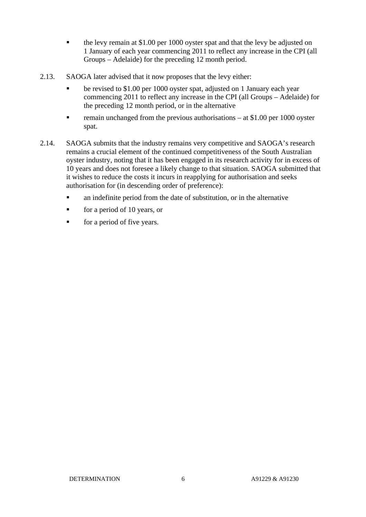- $\bullet$  the levy remain at \$1.00 per 1000 oyster spat and that the levy be adjusted on 1 January of each year commencing 2011 to reflect any increase in the CPI (all Groups – Adelaide) for the preceding 12 month period.
- 2.13. SAOGA later advised that it now proposes that the levy either:
	- **•** be revised to \$1.00 per 1000 oyster spat, adjusted on 1 January each year commencing 2011 to reflect any increase in the CPI (all Groups – Adelaide) for the preceding 12 month period, or in the alternative
	- remain unchanged from the previous authorisations at \$1.00 per 1000 oyster spat.
- 2.14. SAOGA submits that the industry remains very competitive and SAOGA's research remains a crucial element of the continued competitiveness of the South Australian oyster industry, noting that it has been engaged in its research activity for in excess of 10 years and does not foresee a likely change to that situation. SAOGA submitted that it wishes to reduce the costs it incurs in reapplying for authorisation and seeks authorisation for (in descending order of preference):
	- an indefinite period from the date of substitution, or in the alternative
	- for a period of 10 years, or
	- for a period of five years.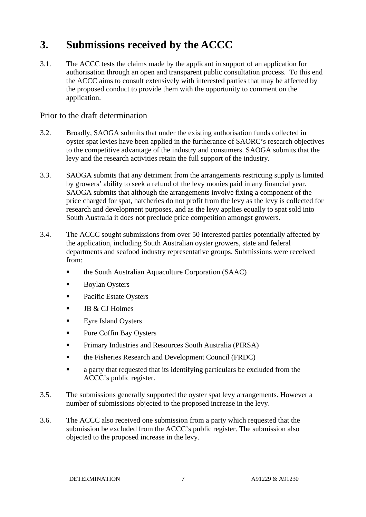## **3. Submissions received by the ACCC**

3.1. The ACCC tests the claims made by the applicant in support of an application for authorisation through an open and transparent public consultation process. To this end the ACCC aims to consult extensively with interested parties that may be affected by the proposed conduct to provide them with the opportunity to comment on the application.

#### Prior to the draft determination

- 3.2. Broadly, SAOGA submits that under the existing authorisation funds collected in oyster spat levies have been applied in the furtherance of SAORC's research objectives to the competitive advantage of the industry and consumers. SAOGA submits that the levy and the research activities retain the full support of the industry.
- 3.3. SAOGA submits that any detriment from the arrangements restricting supply is limited by growers' ability to seek a refund of the levy monies paid in any financial year. SAOGA submits that although the arrangements involve fixing a component of the price charged for spat, hatcheries do not profit from the levy as the levy is collected for research and development purposes, and as the levy applies equally to spat sold into South Australia it does not preclude price competition amongst growers.
- 3.4. The ACCC sought submissions from over 50 interested parties potentially affected by the application, including South Australian oyster growers, state and federal departments and seafood industry representative groups. Submissions were received from:
	- the South Australian Aquaculture Corporation (SAAC)
	- Boylan Oysters
	- Pacific Estate Oysters
	- $\blacksquare$  JB & CJ Holmes
	- **Exre Island Oysters**
	- Pure Coffin Bay Oysters
	- Primary Industries and Resources South Australia (PIRSA)
	- **the Fisheries Research and Development Council (FRDC)**
	- **a** party that requested that its identifying particulars be excluded from the ACCC's public register.
- 3.5. The submissions generally supported the oyster spat levy arrangements. However a number of submissions objected to the proposed increase in the levy.
- 3.6. The ACCC also received one submission from a party which requested that the submission be excluded from the ACCC's public register. The submission also objected to the proposed increase in the levy.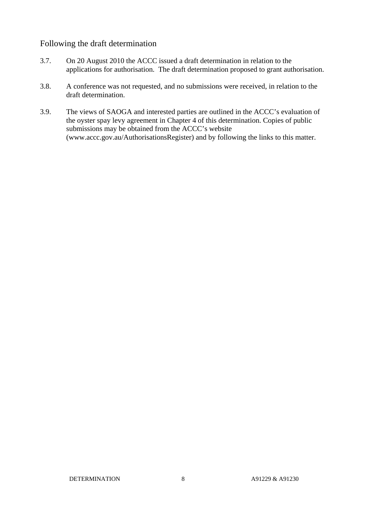#### Following the draft determination

- 3.7. On 20 August 2010 the ACCC issued a draft determination in relation to the applications for authorisation. The draft determination proposed to grant authorisation.
- 3.8. A conference was not requested, and no submissions were received, in relation to the draft determination.
- 3.9. The views of SAOGA and interested parties are outlined in the ACCC's evaluation of the oyster spay levy agreement in Chapter 4 of this determination. Copies of public submissions may be obtained from the ACCC's website (www.accc.gov.au/AuthorisationsRegister) and by following the links to this matter.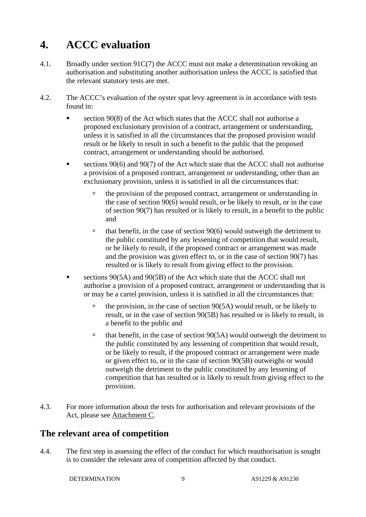## **4. ACCC evaluation**

- 4.1. Broadly under section 91C(7) the ACCC must not make a determination revoking an authorisation and substituting another authorisation unless the ACCC is satisfied that the relevant statutory tests are met.
- 4.2. The ACCC's evaluation of the oyster spat levy agreement is in accordance with tests found in:
	- section 90(8) of the Act which states that the ACCC shall not authorise a proposed exclusionary provision of a contract, arrangement or understanding, unless it is satisfied in all the circumstances that the proposed provision would result or be likely to result in such a benefit to the public that the proposed contract, arrangement or understanding should be authorised.
	- sections 90(6) and 90(7) of the Act which state that the ACCC shall not authorise a provision of a proposed contract, arrangement or understanding, other than an exclusionary provision, unless it is satisfied in all the circumstances that:
		- $\Box$  the provision of the proposed contract, arrangement or understanding in the case of section 90(6) would result, or be likely to result, or in the case of section 90(7) has resulted or is likely to result, in a benefit to the public and
		- $\theta$  that benefit, in the case of section 90(6) would outweigh the detriment to the public constituted by any lessening of competition that would result, or be likely to result, if the proposed contract or arrangement was made and the provision was given effect to, or in the case of section 90(7) has resulted or is likely to result from giving effect to the provision.
	- sections 90(5A) and 90(5B) of the Act which state that the ACCC shall not authorise a provision of a proposed contract, arrangement or understanding that is or may be a cartel provision, unless it is satisfied in all the circumstances that:
		- $\Phi$  the provision, in the case of section 90(5A) would result, or be likely to result, or in the case of section 90(5B) has resulted or is likely to result, in a benefit to the public and
		- $\theta$  that benefit, in the case of section 90(5A) would outweigh the detriment to the public constituted by any lessening of competition that would result, or be likely to result, if the proposed contract or arrangement were made or given effect to, or in the case of section 90(5B) outweighs or would outweigh the detriment to the public constituted by any lessening of competition that has resulted or is likely to result from giving effect to the provision.
- 4.3. For more information about the tests for authorisation and relevant provisions of the Act, please see Attachment C.

### **The relevant area of competition**

4.4. The first step in assessing the effect of the conduct for which reauthorisation is sought is to consider the relevant area of competition affected by that conduct.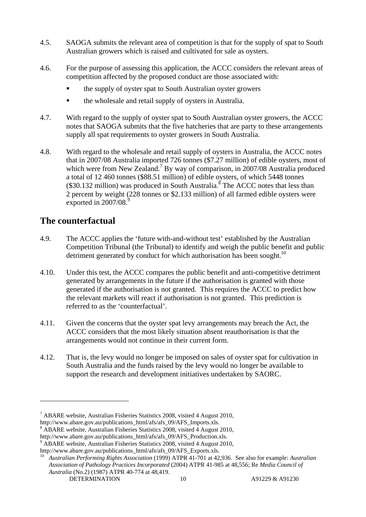- 4.5. SAOGA submits the relevant area of competition is that for the supply of spat to South Australian growers which is raised and cultivated for sale as oysters.
- 4.6. For the purpose of assessing this application, the ACCC considers the relevant areas of competition affected by the proposed conduct are those associated with:
	- the supply of oyster spat to South Australian oyster growers
	- the wholesale and retail supply of oysters in Australia.
- 4.7. With regard to the supply of oyster spat to South Australian oyster growers, the ACCC notes that SAOGA submits that the five hatcheries that are party to these arrangements supply all spat requirements to oyster growers in South Australia.
- 4.8. With regard to the wholesale and retail supply of oysters in Australia, the ACCC notes that in 2007/08 Australia imported 726 tonnes (\$7.27 million) of edible oysters, most of which were from New Zealand.<sup>7</sup> By way of comparison, in 2007/08 Australia produced a total of 12 460 tonnes (\$88.51 million) of edible oysters, of which 5448 tonnes  $(\$30.132$  million) was produced in South Australia.<sup>8</sup> The ACCC notes that less than 2 percent by weight (228 tonnes or \$2.133 million) of all farmed edible oysters were exported in 2007/08.9

## **The counterfactual**

- 4.9. The ACCC applies the 'future with-and-without test' established by the Australian Competition Tribunal (the Tribunal) to identify and weigh the public benefit and public detriment generated by conduct for which authorisation has been sought.<sup>10</sup>
- 4.10. Under this test, the ACCC compares the public benefit and anti-competitive detriment generated by arrangements in the future if the authorisation is granted with those generated if the authorisation is not granted. This requires the ACCC to predict how the relevant markets will react if authorisation is not granted. This prediction is referred to as the 'counterfactual'.
- 4.11. Given the concerns that the oyster spat levy arrangements may breach the Act, the ACCC considers that the most likely situation absent reauthorisation is that the arrangements would not continue in their current form.
- 4.12. That is, the levy would no longer be imposed on sales of oyster spat for cultivation in South Australia and the funds raised by the levy would no longer be available to support the research and development initiatives undertaken by SAORC.

- http://www.abare.gov.au/publications\_html/afs/afs\_09/AFS\_Production.xls.
- <sup>9</sup> ABARE website, Australian Fisheries Statistics 2008, visited 4 August 2010,

 $7$  ABARE website, Australian Fisheries Statistics 2008, visited 4 August 2010,

http://www.abare.gov.au/publications\_html/afs/afs\_09/AFS\_Imports.xls.

ABARE website, Australian Fisheries Statistics 2008, visited 4 August 2010,

DETERMINATION 10 A91229 & A91230 http://www.abare.gov.au/publications\_html/afs/afs\_09/AFS\_Exports.xls. 10 *Australian Performing Rights Association* (1999) ATPR 41-701 at 42,936. See also for example: *Australian Association of Pathology Practices Incorporated* (2004) ATPR 41-985 at 48,556; Re *Media Council of Australia* (No.2) (1987) ATPR 40-774 at 48,419.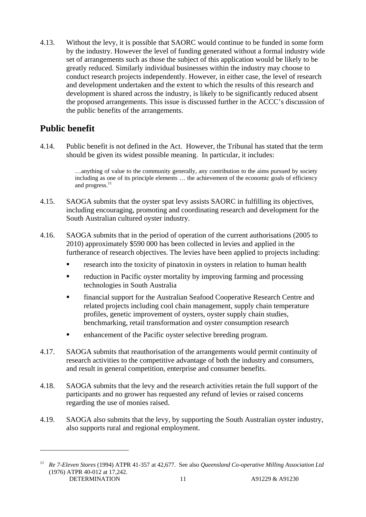4.13. Without the levy, it is possible that SAORC would continue to be funded in some form by the industry. However the level of funding generated without a formal industry wide set of arrangements such as those the subject of this application would be likely to be greatly reduced. Similarly individual businesses within the industry may choose to conduct research projects independently. However, in either case, the level of research and development undertaken and the extent to which the results of this research and development is shared across the industry, is likely to be significantly reduced absent the proposed arrangements. This issue is discussed further in the ACCC's discussion of the public benefits of the arrangements.

## **Public benefit**

 $\overline{a}$ 

4.14. Public benefit is not defined in the Act. However, the Tribunal has stated that the term should be given its widest possible meaning. In particular, it includes:

> …anything of value to the community generally, any contribution to the aims pursued by society including as one of its principle elements … the achievement of the economic goals of efficiency and progress.<sup>11</sup>

- 4.15. SAOGA submits that the oyster spat levy assists SAORC in fulfilling its objectives, including encouraging, promoting and coordinating research and development for the South Australian cultured oyster industry.
- 4.16. SAOGA submits that in the period of operation of the current authorisations (2005 to 2010) approximately \$590 000 has been collected in levies and applied in the furtherance of research objectives. The levies have been applied to projects including:
	- research into the toxicity of pinatoxin in oysters in relation to human health
	- reduction in Pacific oyster mortality by improving farming and processing technologies in South Australia
	- financial support for the Australian Seafood Cooperative Research Centre and related projects including cool chain management, supply chain temperature profiles, genetic improvement of oysters, oyster supply chain studies, benchmarking, retail transformation and oyster consumption research
	- **Example 1** enhancement of the Pacific oyster selective breeding program.
- 4.17. SAOGA submits that reauthorisation of the arrangements would permit continuity of research activities to the competitive advantage of both the industry and consumers, and result in general competition, enterprise and consumer benefits.
- 4.18. SAOGA submits that the levy and the research activities retain the full support of the participants and no grower has requested any refund of levies or raised concerns regarding the use of monies raised.
- 4.19. SAOGA also submits that the levy, by supporting the South Australian oyster industry, also supports rural and regional employment.

DETERMINATION 11 A91229 & A91230 11 *Re 7-Eleven Stores* (1994) ATPR 41-357 at 42,677. See also *Queensland Co-operative Milling Association Ltd* (1976) ATPR 40-012 at 17,242.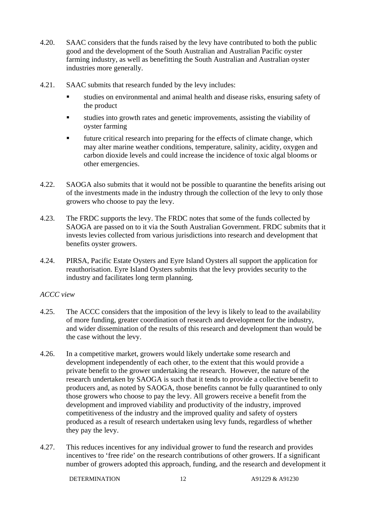- 4.20. SAAC considers that the funds raised by the levy have contributed to both the public good and the development of the South Australian and Australian Pacific oyster farming industry, as well as benefitting the South Australian and Australian oyster industries more generally.
- 4.21. SAAC submits that research funded by the levy includes:
	- studies on environmental and animal health and disease risks, ensuring safety of the product
	- studies into growth rates and genetic improvements, assisting the viability of oyster farming
	- future critical research into preparing for the effects of climate change, which may alter marine weather conditions, temperature, salinity, acidity, oxygen and carbon dioxide levels and could increase the incidence of toxic algal blooms or other emergencies.
- 4.22. SAOGA also submits that it would not be possible to quarantine the benefits arising out of the investments made in the industry through the collection of the levy to only those growers who choose to pay the levy.
- 4.23. The FRDC supports the levy. The FRDC notes that some of the funds collected by SAOGA are passed on to it via the South Australian Government. FRDC submits that it invests levies collected from various jurisdictions into research and development that benefits oyster growers.
- 4.24. PIRSA, Pacific Estate Oysters and Eyre Island Oysters all support the application for reauthorisation. Eyre Island Oysters submits that the levy provides security to the industry and facilitates long term planning.

#### *ACCC view*

- 4.25. The ACCC considers that the imposition of the levy is likely to lead to the availability of more funding, greater coordination of research and development for the industry, and wider dissemination of the results of this research and development than would be the case without the levy.
- 4.26. In a competitive market, growers would likely undertake some research and development independently of each other, to the extent that this would provide a private benefit to the grower undertaking the research. However, the nature of the research undertaken by SAOGA is such that it tends to provide a collective benefit to producers and, as noted by SAOGA, those benefits cannot be fully quarantined to only those growers who choose to pay the levy. All growers receive a benefit from the development and improved viability and productivity of the industry, improved competitiveness of the industry and the improved quality and safety of oysters produced as a result of research undertaken using levy funds, regardless of whether they pay the levy.
- 4.27. This reduces incentives for any individual grower to fund the research and provides incentives to 'free ride' on the research contributions of other growers. If a significant number of growers adopted this approach, funding, and the research and development it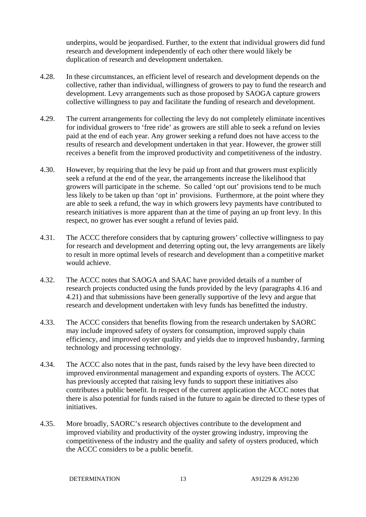underpins, would be jeopardised. Further, to the extent that individual growers did fund research and development independently of each other there would likely be duplication of research and development undertaken.

- 4.28. In these circumstances, an efficient level of research and development depends on the collective, rather than individual, willingness of growers to pay to fund the research and development. Levy arrangements such as those proposed by SAOGA capture growers collective willingness to pay and facilitate the funding of research and development.
- 4.29. The current arrangements for collecting the levy do not completely eliminate incentives for individual growers to 'free ride' as growers are still able to seek a refund on levies paid at the end of each year. Any grower seeking a refund does not have access to the results of research and development undertaken in that year. However, the grower still receives a benefit from the improved productivity and competitiveness of the industry.
- 4.30. However, by requiring that the levy be paid up front and that growers must explicitly seek a refund at the end of the year, the arrangements increase the likelihood that growers will participate in the scheme. So called 'opt out' provisions tend to be much less likely to be taken up than 'opt in' provisions. Furthermore, at the point where they are able to seek a refund, the way in which growers levy payments have contributed to research initiatives is more apparent than at the time of paying an up front levy. In this respect, no grower has ever sought a refund of levies paid.
- 4.31. The ACCC therefore considers that by capturing growers' collective willingness to pay for research and development and deterring opting out, the levy arrangements are likely to result in more optimal levels of research and development than a competitive market would achieve.
- 4.32. The ACCC notes that SAOGA and SAAC have provided details of a number of research projects conducted using the funds provided by the levy (paragraphs 4.16 and 4.21) and that submissions have been generally supportive of the levy and argue that research and development undertaken with levy funds has benefitted the industry.
- 4.33. The ACCC considers that benefits flowing from the research undertaken by SAORC may include improved safety of oysters for consumption, improved supply chain efficiency, and improved oyster quality and yields due to improved husbandry, farming technology and processing technology.
- 4.34. The ACCC also notes that in the past, funds raised by the levy have been directed to improved environmental management and expanding exports of oysters. The ACCC has previously accepted that raising levy funds to support these initiatives also contributes a public benefit. In respect of the current application the ACCC notes that there is also potential for funds raised in the future to again be directed to these types of initiatives.
- 4.35. More broadly, SAORC's research objectives contribute to the development and improved viability and productivity of the oyster growing industry, improving the competitiveness of the industry and the quality and safety of oysters produced, which the ACCC considers to be a public benefit.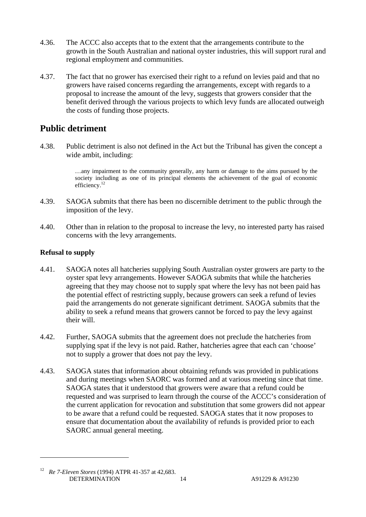- 4.36. The ACCC also accepts that to the extent that the arrangements contribute to the growth in the South Australian and national oyster industries, this will support rural and regional employment and communities.
- 4.37. The fact that no grower has exercised their right to a refund on levies paid and that no growers have raised concerns regarding the arrangements, except with regards to a proposal to increase the amount of the levy, suggests that growers consider that the benefit derived through the various projects to which levy funds are allocated outweigh the costs of funding those projects.

### **Public detriment**

4.38. Public detriment is also not defined in the Act but the Tribunal has given the concept a wide ambit, including:

> …any impairment to the community generally, any harm or damage to the aims pursued by the society including as one of its principal elements the achievement of the goal of economic efficiency.<sup>12</sup>

- 4.39. SAOGA submits that there has been no discernible detriment to the public through the imposition of the levy.
- 4.40. Other than in relation to the proposal to increase the levy, no interested party has raised concerns with the levy arrangements.

#### **Refusal to supply**

- 4.41. SAOGA notes all hatcheries supplying South Australian oyster growers are party to the oyster spat levy arrangements. However SAOGA submits that while the hatcheries agreeing that they may choose not to supply spat where the levy has not been paid has the potential effect of restricting supply, because growers can seek a refund of levies paid the arrangements do not generate significant detriment. SAOGA submits that the ability to seek a refund means that growers cannot be forced to pay the levy against their will.
- 4.42. Further, SAOGA submits that the agreement does not preclude the hatcheries from supplying spat if the levy is not paid. Rather, hatcheries agree that each can 'choose' not to supply a grower that does not pay the levy.
- 4.43. SAOGA states that information about obtaining refunds was provided in publications and during meetings when SAORC was formed and at various meeting since that time. SAOGA states that it understood that growers were aware that a refund could be requested and was surprised to learn through the course of the ACCC's consideration of the current application for revocation and substitution that some growers did not appear to be aware that a refund could be requested. SAOGA states that it now proposes to ensure that documentation about the availability of refunds is provided prior to each SAORC annual general meeting.

DETERMINATION 14 A91229 & A91230 12 *Re 7-Eleven Stores* (1994) ATPR 41-357 at 42,683.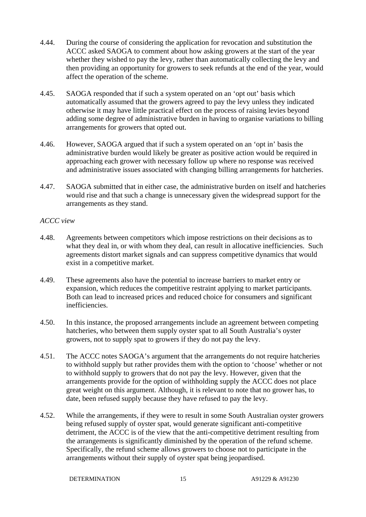- 4.44. During the course of considering the application for revocation and substitution the ACCC asked SAOGA to comment about how asking growers at the start of the year whether they wished to pay the levy, rather than automatically collecting the levy and then providing an opportunity for growers to seek refunds at the end of the year, would affect the operation of the scheme.
- 4.45. SAOGA responded that if such a system operated on an 'opt out' basis which automatically assumed that the growers agreed to pay the levy unless they indicated otherwise it may have little practical effect on the process of raising levies beyond adding some degree of administrative burden in having to organise variations to billing arrangements for growers that opted out.
- 4.46. However, SAOGA argued that if such a system operated on an 'opt in' basis the administrative burden would likely be greater as positive action would be required in approaching each grower with necessary follow up where no response was received and administrative issues associated with changing billing arrangements for hatcheries.
- 4.47. SAOGA submitted that in either case, the administrative burden on itself and hatcheries would rise and that such a change is unnecessary given the widespread support for the arrangements as they stand.

#### *ACCC view*

- 4.48. Agreements between competitors which impose restrictions on their decisions as to what they deal in, or with whom they deal, can result in allocative inefficiencies. Such agreements distort market signals and can suppress competitive dynamics that would exist in a competitive market.
- 4.49. These agreements also have the potential to increase barriers to market entry or expansion, which reduces the competitive restraint applying to market participants. Both can lead to increased prices and reduced choice for consumers and significant inefficiencies.
- 4.50. In this instance, the proposed arrangements include an agreement between competing hatcheries, who between them supply oyster spat to all South Australia's oyster growers, not to supply spat to growers if they do not pay the levy.
- 4.51. The ACCC notes SAOGA's argument that the arrangements do not require hatcheries to withhold supply but rather provides them with the option to 'choose' whether or not to withhold supply to growers that do not pay the levy. However, given that the arrangements provide for the option of withholding supply the ACCC does not place great weight on this argument. Although, it is relevant to note that no grower has, to date, been refused supply because they have refused to pay the levy.
- 4.52. While the arrangements, if they were to result in some South Australian oyster growers being refused supply of oyster spat, would generate significant anti-competitive detriment, the ACCC is of the view that the anti-competitive detriment resulting from the arrangements is significantly diminished by the operation of the refund scheme. Specifically, the refund scheme allows growers to choose not to participate in the arrangements without their supply of oyster spat being jeopardised.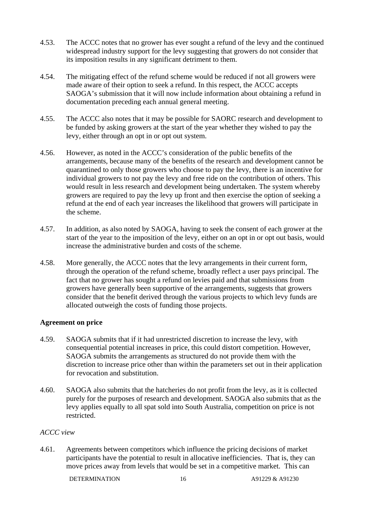- 4.53. The ACCC notes that no grower has ever sought a refund of the levy and the continued widespread industry support for the levy suggesting that growers do not consider that its imposition results in any significant detriment to them.
- 4.54. The mitigating effect of the refund scheme would be reduced if not all growers were made aware of their option to seek a refund. In this respect, the ACCC accepts SAOGA's submission that it will now include information about obtaining a refund in documentation preceding each annual general meeting.
- 4.55. The ACCC also notes that it may be possible for SAORC research and development to be funded by asking growers at the start of the year whether they wished to pay the levy, either through an opt in or opt out system.
- 4.56. However, as noted in the ACCC's consideration of the public benefits of the arrangements, because many of the benefits of the research and development cannot be quarantined to only those growers who choose to pay the levy, there is an incentive for individual growers to not pay the levy and free ride on the contribution of others. This would result in less research and development being undertaken. The system whereby growers are required to pay the levy up front and then exercise the option of seeking a refund at the end of each year increases the likelihood that growers will participate in the scheme.
- 4.57. In addition, as also noted by SAOGA, having to seek the consent of each grower at the start of the year to the imposition of the levy, either on an opt in or opt out basis, would increase the administrative burden and costs of the scheme.
- 4.58. More generally, the ACCC notes that the levy arrangements in their current form, through the operation of the refund scheme, broadly reflect a user pays principal. The fact that no grower has sought a refund on levies paid and that submissions from growers have generally been supportive of the arrangements, suggests that growers consider that the benefit derived through the various projects to which levy funds are allocated outweigh the costs of funding those projects.

#### **Agreement on price**

- 4.59. SAOGA submits that if it had unrestricted discretion to increase the levy, with consequential potential increases in price, this could distort competition. However, SAOGA submits the arrangements as structured do not provide them with the discretion to increase price other than within the parameters set out in their application for revocation and substitution.
- 4.60. SAOGA also submits that the hatcheries do not profit from the levy, as it is collected purely for the purposes of research and development. SAOGA also submits that as the levy applies equally to all spat sold into South Australia, competition on price is not restricted.

#### *ACCC view*

4.61. Agreements between competitors which influence the pricing decisions of market participants have the potential to result in allocative inefficiencies. That is, they can move prices away from levels that would be set in a competitive market. This can

DETERMINATION 16 A91229 & A91230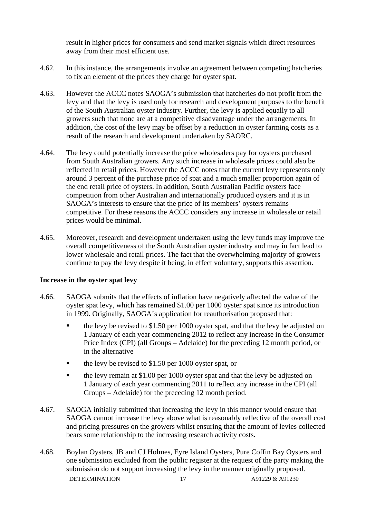result in higher prices for consumers and send market signals which direct resources away from their most efficient use.

- 4.62. In this instance, the arrangements involve an agreement between competing hatcheries to fix an element of the prices they charge for oyster spat.
- 4.63. However the ACCC notes SAOGA's submission that hatcheries do not profit from the levy and that the levy is used only for research and development purposes to the benefit of the South Australian oyster industry. Further, the levy is applied equally to all growers such that none are at a competitive disadvantage under the arrangements. In addition, the cost of the levy may be offset by a reduction in oyster farming costs as a result of the research and development undertaken by SAORC.
- 4.64. The levy could potentially increase the price wholesalers pay for oysters purchased from South Australian growers. Any such increase in wholesale prices could also be reflected in retail prices. However the ACCC notes that the current levy represents only around 3 percent of the purchase price of spat and a much smaller proportion again of the end retail price of oysters. In addition, South Australian Pacific oysters face competition from other Australian and internationally produced oysters and it is in SAOGA's interests to ensure that the price of its members' oysters remains competitive. For these reasons the ACCC considers any increase in wholesale or retail prices would be minimal.
- 4.65. Moreover, research and development undertaken using the levy funds may improve the overall competitiveness of the South Australian oyster industry and may in fact lead to lower wholesale and retail prices. The fact that the overwhelming majority of growers continue to pay the levy despite it being, in effect voluntary, supports this assertion.

#### **Increase in the oyster spat levy**

- 4.66. SAOGA submits that the effects of inflation have negatively affected the value of the oyster spat levy, which has remained \$1.00 per 1000 oyster spat since its introduction in 1999. Originally, SAOGA's application for reauthorisation proposed that:
	- the levy be revised to \$1.50 per 1000 oyster spat, and that the levy be adjusted on 1 January of each year commencing 2012 to reflect any increase in the Consumer Price Index (CPI) (all Groups – Adelaide) for the preceding 12 month period, or in the alternative
	- $\bullet$  the levy be revised to \$1.50 per 1000 oyster spat, or
	- the levy remain at \$1.00 per 1000 oyster spat and that the levy be adjusted on 1 January of each year commencing 2011 to reflect any increase in the CPI (all Groups – Adelaide) for the preceding 12 month period.
- 4.67. SAOGA initially submitted that increasing the levy in this manner would ensure that SAOGA cannot increase the levy above what is reasonably reflective of the overall cost and pricing pressures on the growers whilst ensuring that the amount of levies collected bears some relationship to the increasing research activity costs.
- DETERMINATION 17 A91229 & A91230 4.68. Boylan Oysters, JB and CJ Holmes, Eyre Island Oysters, Pure Coffin Bay Oysters and one submission excluded from the public register at the request of the party making the submission do not support increasing the levy in the manner originally proposed.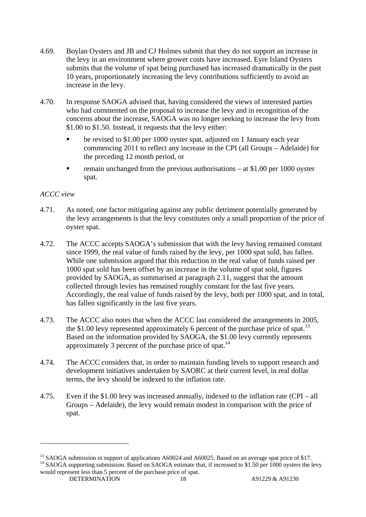- 4.69. Boylan Oysters and JB and CJ Holmes submit that they do not support an increase in the levy in an environment where grower costs have increased. Eyre Island Oysters submits that the volume of spat being purchased has increased dramatically in the past 10 years, proportionately increasing the levy contributions sufficiently to avoid an increase in the levy.
- 4.70. In response SAOGA advised that, having considered the views of interested parties who had commented on the proposal to increase the levy and in recognition of the concerns about the increase, SAOGA was no longer seeking to increase the levy from \$1.00 to \$1.50. Instead, it requests that the levy either:
	- be revised to \$1.00 per 1000 oyster spat, adjusted on 1 January each year commencing 2011 to reflect any increase in the CPI (all Groups – Adelaide) for the preceding 12 month period, or
	- remain unchanged from the previous authorisations at \$1.00 per 1000 oyster spat.

#### *ACCC view*

- 4.71. As noted, one factor mitigating against any public detriment potentially generated by the levy arrangements is that the levy constitutes only a small proportion of the price of oyster spat.
- 4.72. The ACCC accepts SAOGA's submission that with the levy having remained constant since 1999, the real value of funds raised by the levy, per 1000 spat sold, has fallen. While one submission argued that this reduction in the real value of funds raised per 1000 spat sold has been offset by an increase in the volume of spat sold, figures provided by SAOGA, as summarised at paragraph 2.11, suggest that the amount collected through levies has remained roughly constant for the last five years. Accordingly, the real value of funds raised by the levy, both per 1000 spat, and in total, has fallen significantly in the last five years.
- 4.73. The ACCC also notes that when the ACCC last considered the arrangements in 2005, the \$1.00 levy represented approximately 6 percent of the purchase price of spat.<sup>13</sup> Based on the information provided by SAOGA, the \$1.00 levy currently represents approximately 3 percent of the purchase price of spat.14
- 4.74. The ACCC considers that, in order to maintain funding levels to support research and development initiatives undertaken by SAORC at their current level, in real dollar terms, the levy should be indexed to the inflation rate.
- 4.75. Even if the \$1.00 levy was increased annually, indexed to the inflation rate (CPI all Groups – Adelaide), the levy would remain modest in comparison with the price of spat.

DETERMINATION 18 A91229 & A91230

<sup>&</sup>lt;sup>13</sup> SAOGA submission in support of applications A60024 and A60025. Based on an average spat price of \$17. <sup>14</sup> SAOGA supporting submission. Based on SAOGA estimate that, if increased to \$1.50 per 1000 oysters the levy would represent less than 5 percent of the purchase price of spat.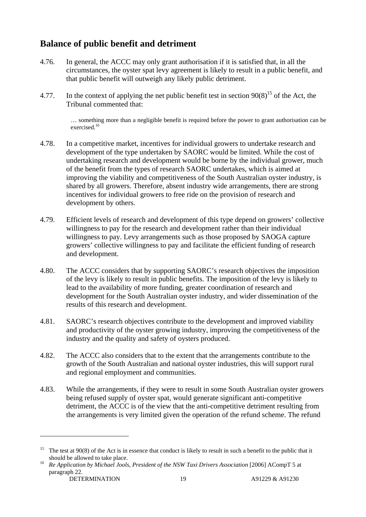## **Balance of public benefit and detriment**

- 4.76. In general, the ACCC may only grant authorisation if it is satisfied that, in all the circumstances, the oyster spat levy agreement is likely to result in a public benefit, and that public benefit will outweigh any likely public detriment.
- 4.77. In the context of applying the net public benefit test in section  $90(8)^{15}$  of the Act, the Tribunal commented that:

… something more than a negligible benefit is required before the power to grant authorisation can be exercised.<sup>16</sup>

- 4.78. In a competitive market, incentives for individual growers to undertake research and development of the type undertaken by SAORC would be limited. While the cost of undertaking research and development would be borne by the individual grower, much of the benefit from the types of research SAORC undertakes, which is aimed at improving the viability and competitiveness of the South Australian oyster industry, is shared by all growers. Therefore, absent industry wide arrangements, there are strong incentives for individual growers to free ride on the provision of research and development by others.
- 4.79. Efficient levels of research and development of this type depend on growers' collective willingness to pay for the research and development rather than their individual willingness to pay. Levy arrangements such as those proposed by SAOGA capture growers' collective willingness to pay and facilitate the efficient funding of research and development.
- 4.80. The ACCC considers that by supporting SAORC's research objectives the imposition of the levy is likely to result in public benefits. The imposition of the levy is likely to lead to the availability of more funding, greater coordination of research and development for the South Australian oyster industry, and wider dissemination of the results of this research and development.
- 4.81. SAORC's research objectives contribute to the development and improved viability and productivity of the oyster growing industry, improving the competitiveness of the industry and the quality and safety of oysters produced.
- 4.82. The ACCC also considers that to the extent that the arrangements contribute to the growth of the South Australian and national oyster industries, this will support rural and regional employment and communities.
- 4.83. While the arrangements, if they were to result in some South Australian oyster growers being refused supply of oyster spat, would generate significant anti-competitive detriment, the ACCC is of the view that the anti-competitive detriment resulting from the arrangements is very limited given the operation of the refund scheme. The refund

<sup>&</sup>lt;sup>15</sup> The test at 90(8) of the Act is in essence that conduct is likely to result in such a benefit to the public that it

DETERMINATION 19 A91229 & A91230 should be allowed to take place. 16 *Re Application by Michael Jools, President of the NSW Taxi Drivers Association* [2006] ACompT 5 at paragraph 22.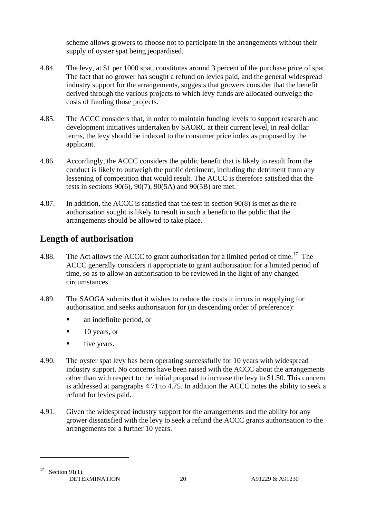scheme allows growers to choose not to participate in the arrangements without their supply of oyster spat being jeopardised.

- 4.84. The levy, at \$1 per 1000 spat, constitutes around 3 percent of the purchase price of spat. The fact that no grower has sought a refund on levies paid, and the general widespread industry support for the arrangements, suggests that growers consider that the benefit derived through the various projects to which levy funds are allocated outweigh the costs of funding those projects.
- 4.85. The ACCC considers that, in order to maintain funding levels to support research and development initiatives undertaken by SAORC at their current level, in real dollar terms, the levy should be indexed to the consumer price index as proposed by the applicant.
- 4.86. Accordingly, the ACCC considers the public benefit that is likely to result from the conduct is likely to outweigh the public detriment, including the detriment from any lessening of competition that would result. The ACCC is therefore satisfied that the tests in sections 90(6), 90(7), 90(5A) and 90(5B) are met.
- 4.87. In addition, the ACCC is satisfied that the test in section 90(8) is met as the reauthorisation sought is likely to result in such a benefit to the public that the arrangements should be allowed to take place.

## **Length of authorisation**

- 4.88. The Act allows the ACCC to grant authorisation for a limited period of time.<sup>17</sup> The ACCC generally considers it appropriate to grant authorisation for a limited period of time, so as to allow an authorisation to be reviewed in the light of any changed circumstances.
- 4.89. The SAOGA submits that it wishes to reduce the costs it incurs in reapplying for authorisation and seeks authorisation for (in descending order of preference):
	- **a** an indefinite period, or
	- $\blacksquare$  10 years, or
	- **five years.**
- 4.90. The oyster spat levy has been operating successfully for 10 years with widespread industry support. No concerns have been raised with the ACCC about the arrangements other than with respect to the initial proposal to increase the levy to \$1.50. This concern is addressed at paragraphs 4.71 to 4.75. In addition the ACCC notes the ability to seek a refund for levies paid.
- 4.91. Given the widespread industry support for the arrangements and the ability for any grower dissatisfied with the levy to seek a refund the ACCC grants authorisation to the arrangements for a further 10 years.

DETERMINATION 20 A91229 & A91230  $17$  Section 91(1).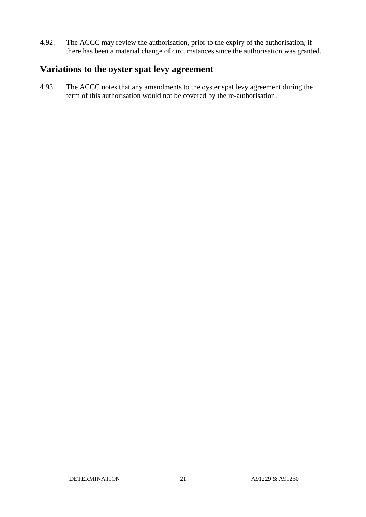4.92. The ACCC may review the authorisation, prior to the expiry of the authorisation, if there has been a material change of circumstances since the authorisation was granted.

### **Variations to the oyster spat levy agreement**

4.93. The ACCC notes that any amendments to the oyster spat levy agreement during the term of this authorisation would not be covered by the re-authorisation.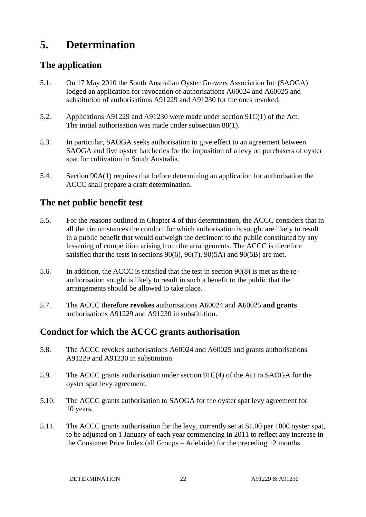## **5. Determination**

## **The application**

- 5.1. On 17 May 2010 the South Australian Oyster Growers Association Inc (SAOGA) lodged an application for revocation of authorisations A60024 and A60025 and substitution of authorisations A91229 and A91230 for the ones revoked.
- 5.2. Applications A91229 and A91230 were made under section 91C(1) of the Act. The initial authorisation was made under subsection 88(1).
- 5.3. In particular, SAOGA seeks authorisation to give effect to an agreement between SAOGA and five oyster hatcheries for the imposition of a levy on purchasers of oyster spat for cultivation in South Australia.
- 5.4. Section 90A(1) requires that before determining an application for authorisation the ACCC shall prepare a draft determination.

## **The net public benefit test**

- 5.5. For the reasons outlined in Chapter 4 of this determination, the ACCC considers that in all the circumstances the conduct for which authorisation is sought are likely to result in a public benefit that would outweigh the detriment to the public constituted by any lessening of competition arising from the arrangements. The ACCC is therefore satisfied that the tests in sections 90(6), 90(7), 90(5A) and 90(5B) are met.
- 5.6. In addition, the ACCC is satisfied that the test in section 90(8) is met as the reauthorisation sought is likely to result in such a benefit to the public that the arrangements should be allowed to take place.
- 5.7. The ACCC therefore **revokes** authorisations A60024 and A60025 **and grants** authorisations A91229 and A91230 in substitution.

## **Conduct for which the ACCC grants authorisation**

- 5.8. The ACCC revokes authorisations A60024 and A60025 and grants authorisations A91229 and A91230 in substitution.
- 5.9. The ACCC grants authorisation under section 91C(4) of the Act to SAOGA for the oyster spat levy agreement*.*
- 5.10. The ACCC grants authorisation to SAOGA for the oyster spat levy agreement for 10 years.
- 5.11. The ACCC grants authorisation for the levy, currently set at \$1.00 per 1000 oyster spat, to be adjusted on 1 January of each year commencing in 2011 to reflect any increase in the Consumer Price Index (all Groups – Adelaide) for the preceding 12 months.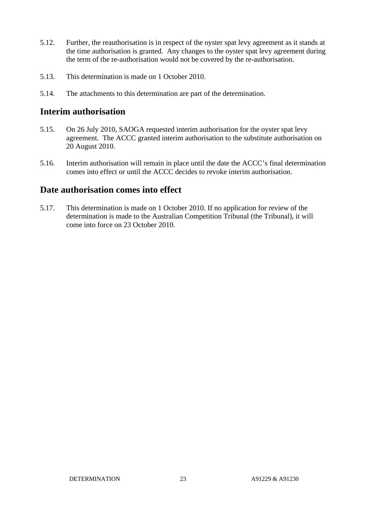- 5.12. Further, the reauthorisation is in respect of the oyster spat levy agreement as it stands at the time authorisation is granted. Any changes to the oyster spat levy agreement during the term of the re-authorisation would not be covered by the re-authorisation.
- 5.13. This determination is made on 1 October 2010.
- 5.14. The attachments to this determination are part of the determination.

#### **Interim authorisation**

- 5.15. On 26 July 2010, SAOGA requested interim authorisation for the oyster spat levy agreement. The ACCC granted interim authorisation to the substitute authorisation on 20 August 2010.
- 5.16. Interim authorisation will remain in place until the date the ACCC's final determination comes into effect or until the ACCC decides to revoke interim authorisation.

### **Date authorisation comes into effect**

5.17. This determination is made on 1 October 2010. If no application for review of the determination is made to the Australian Competition Tribunal (the Tribunal), it will come into force on 23 October 2010.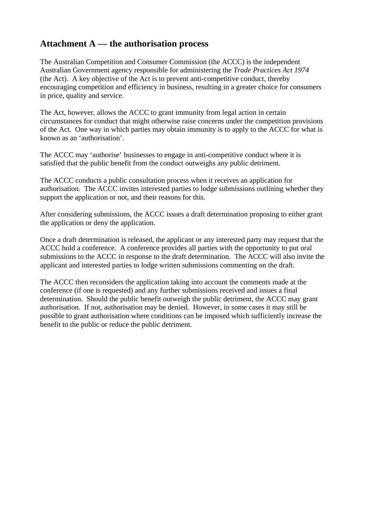## **Attachment A — the authorisation process**

The Australian Competition and Consumer Commission (the ACCC) is the independent Australian Government agency responsible for administering the *Trade Practices Act 1974*  (the Act). A key objective of the Act is to prevent anti-competitive conduct, thereby encouraging competition and efficiency in business, resulting in a greater choice for consumers in price, quality and service.

The Act, however, allows the ACCC to grant immunity from legal action in certain circumstances for conduct that might otherwise raise concerns under the competition provisions of the Act. One way in which parties may obtain immunity is to apply to the ACCC for what is known as an 'authorisation'.

The ACCC may 'authorise' businesses to engage in anti-competitive conduct where it is satisfied that the public benefit from the conduct outweighs any public detriment.

The ACCC conducts a public consultation process when it receives an application for authorisation. The ACCC invites interested parties to lodge submissions outlining whether they support the application or not, and their reasons for this.

After considering submissions, the ACCC issues a draft determination proposing to either grant the application or deny the application.

Once a draft determination is released, the applicant or any interested party may request that the ACCC hold a conference. A conference provides all parties with the opportunity to put oral submissions to the ACCC in response to the draft determination. The ACCC will also invite the applicant and interested parties to lodge written submissions commenting on the draft.

The ACCC then reconsiders the application taking into account the comments made at the conference (if one is requested) and any further submissions received and issues a final determination. Should the public benefit outweigh the public detriment, the ACCC may grant authorisation. If not, authorisation may be denied. However, in some cases it may still be possible to grant authorisation where conditions can be imposed which sufficiently increase the benefit to the public or reduce the public detriment.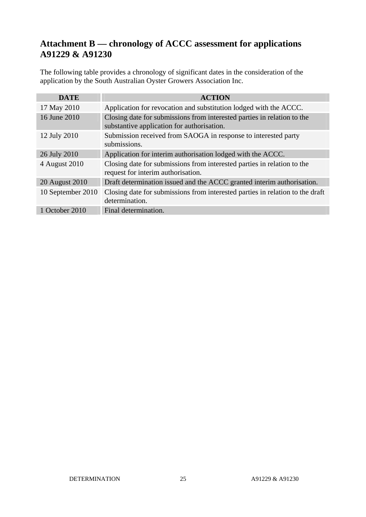## **Attachment B — chronology of ACCC assessment for applications A91229 & A91230**

The following table provides a chronology of significant dates in the consideration of the application by the South Australian Oyster Growers Association Inc.

| <b>DATE</b>       | <b>ACTION</b>                                                                                                         |
|-------------------|-----------------------------------------------------------------------------------------------------------------------|
| 17 May 2010       | Application for revocation and substitution lodged with the ACCC.                                                     |
| 16 June 2010      | Closing date for submissions from interested parties in relation to the<br>substantive application for authorisation. |
| 12 July 2010      | Submission received from SAOGA in response to interested party<br>submissions.                                        |
| 26 July 2010      | Application for interim authorisation lodged with the ACCC.                                                           |
| 4 August 2010     | Closing date for submissions from interested parties in relation to the<br>request for interim authorisation.         |
| 20 August 2010    | Draft determination issued and the ACCC granted interim authorisation.                                                |
| 10 September 2010 | Closing date for submissions from interested parties in relation to the draft<br>determination.                       |
| 1 October 2010    | Final determination.                                                                                                  |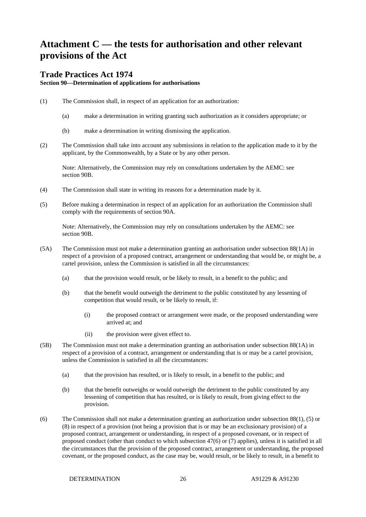## **Attachment C — the tests for authorisation and other relevant provisions of the Act**

#### **Trade Practices Act 1974**

**Section 90—Determination of applications for authorisations**

- (1) The Commission shall, in respect of an application for an authorization:
	- (a) make a determination in writing granting such authorization as it considers appropriate; or
	- (b) make a determination in writing dismissing the application.
- (2) The Commission shall take into account any submissions in relation to the application made to it by the applicant, by the Commonwealth, by a State or by any other person.

Note: Alternatively, the Commission may rely on consultations undertaken by the AEMC: see section 90B.

- (4) The Commission shall state in writing its reasons for a determination made by it.
- (5) Before making a determination in respect of an application for an authorization the Commission shall comply with the requirements of section 90A.

Note: Alternatively, the Commission may rely on consultations undertaken by the AEMC: see section 90B.

- (5A) The Commission must not make a determination granting an authorisation under subsection 88(1A) in respect of a provision of a proposed contract, arrangement or understanding that would be, or might be, a cartel provision, unless the Commission is satisfied in all the circumstances:
	- (a) that the provision would result, or be likely to result, in a benefit to the public; and
	- (b) that the benefit would outweigh the detriment to the public constituted by any lessening of competition that would result, or be likely to result, if:
		- (i) the proposed contract or arrangement were made, or the proposed understanding were arrived at; and
		- (ii) the provision were given effect to.
- (5B) The Commission must not make a determination granting an authorisation under subsection 88(1A) in respect of a provision of a contract, arrangement or understanding that is or may be a cartel provision, unless the Commission is satisfied in all the circumstances:
	- (a) that the provision has resulted, or is likely to result, in a benefit to the public; and
	- (b) that the benefit outweighs or would outweigh the detriment to the public constituted by any lessening of competition that has resulted, or is likely to result, from giving effect to the provision.
- (6) The Commission shall not make a determination granting an authorization under subsection 88(1), (5) or (8) in respect of a provision (not being a provision that is or may be an exclusionary provision) of a proposed contract, arrangement or understanding, in respect of a proposed covenant, or in respect of proposed conduct (other than conduct to which subsection 47(6) or (7) applies), unless it is satisfied in all the circumstances that the provision of the proposed contract, arrangement or understanding, the proposed covenant, or the proposed conduct, as the case may be, would result, or be likely to result, in a benefit to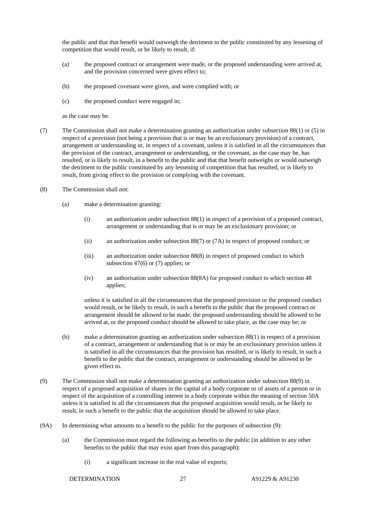the public and that that benefit would outweigh the detriment to the public constituted by any lessening of competition that would result, or be likely to result, if:

- (a) the proposed contract or arrangement were made, or the proposed understanding were arrived at, and the provision concerned were given effect to;
- (b) the proposed covenant were given, and were complied with; or
- (c) the proposed conduct were engaged in;

as the case may be.

- (7) The Commission shall not make a determination granting an authorization under subsection 88(1) or (5) in respect of a provision (not being a provision that is or may be an exclusionary provision) of a contract, arrangement or understanding or, in respect of a covenant, unless it is satisfied in all the circumstances that the provision of the contract, arrangement or understanding, or the covenant, as the case may be, has resulted, or is likely to result, in a benefit to the public and that that benefit outweighs or would outweigh the detriment to the public constituted by any lessening of competition that has resulted, or is likely to result, from giving effect to the provision or complying with the covenant.
- (8) The Commission shall not:
	- (a) make a determination granting:
		- (i) an authorization under subsection 88(1) in respect of a provision of a proposed contract, arrangement or understanding that is or may be an exclusionary provision; or
		- (ii) an authorization under subsection 88(7) or (7A) in respect of proposed conduct; or
		- (iii) an authorization under subsection 88(8) in respect of proposed conduct to which subsection 47(6) or (7) applies; or
		- (iv) an authorisation under subsection 88(8A) for proposed conduct to which section 48 applies;

unless it is satisfied in all the circumstances that the proposed provision or the proposed conduct would result, or be likely to result, in such a benefit to the public that the proposed contract or arrangement should be allowed to be made, the proposed understanding should be allowed to be arrived at, or the proposed conduct should be allowed to take place, as the case may be; or

- (b) make a determination granting an authorization under subsection 88(1) in respect of a provision of a contract, arrangement or understanding that is or may be an exclusionary provision unless it is satisfied in all the circumstances that the provision has resulted, or is likely to result, in such a benefit to the public that the contract, arrangement or understanding should be allowed to be given effect to.
- (9) The Commission shall not make a determination granting an authorization under subsection 88(9) in respect of a proposed acquisition of shares in the capital of a body corporate or of assets of a person or in respect of the acquisition of a controlling interest in a body corporate within the meaning of section 50A unless it is satisfied in all the circumstances that the proposed acquisition would result, or be likely to result, in such a benefit to the public that the acquisition should be allowed to take place.
- (9A) In determining what amounts to a benefit to the public for the purposes of subsection (9):
	- (a) the Commission must regard the following as benefits to the public (in addition to any other benefits to the public that may exist apart from this paragraph):
		- (i) a significant increase in the real value of exports;

DETERMINATION 27 A91229 & A91230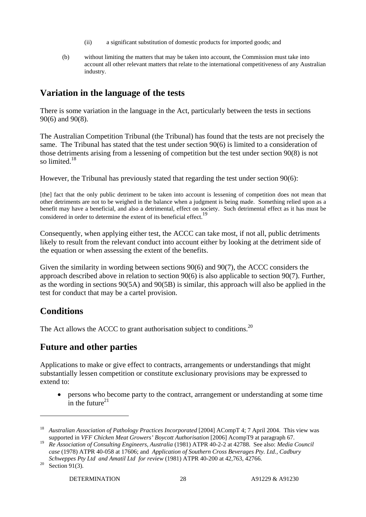- (ii) a significant substitution of domestic products for imported goods; and
- (b) without limiting the matters that may be taken into account, the Commission must take into account all other relevant matters that relate to the international competitiveness of any Australian industry.

## **Variation in the language of the tests**

There is some variation in the language in the Act, particularly between the tests in sections 90(6) and 90(8).

The Australian Competition Tribunal (the Tribunal) has found that the tests are not precisely the same. The Tribunal has stated that the test under section 90(6) is limited to a consideration of those detriments arising from a lessening of competition but the test under section 90(8) is not so limited. $18$ 

However, the Tribunal has previously stated that regarding the test under section 90(6):

[the] fact that the only public detriment to be taken into account is lessening of competition does not mean that other detriments are not to be weighed in the balance when a judgment is being made. Something relied upon as a benefit may have a beneficial, and also a detrimental, effect on society. Such detrimental effect as it has must be considered in order to determine the extent of its beneficial effect.<sup>19</sup>

Consequently, when applying either test, the ACCC can take most, if not all, public detriments likely to result from the relevant conduct into account either by looking at the detriment side of the equation or when assessing the extent of the benefits.

Given the similarity in wording between sections 90(6) and 90(7), the ACCC considers the approach described above in relation to section 90(6) is also applicable to section 90(7). Further, as the wording in sections 90(5A) and 90(5B) is similar, this approach will also be applied in the test for conduct that may be a cartel provision.

### **Conditions**

The Act allows the ACCC to grant authorisation subject to conditions.<sup>20</sup>

## **Future and other parties**

Applications to make or give effect to contracts, arrangements or understandings that might substantially lessen competition or constitute exclusionary provisions may be expressed to extend to:

• persons who become party to the contract, arrangement or understanding at some time in the future $^{21}$ 

<sup>&</sup>lt;sup>18</sup> *Australian Association of Pathology Practices Incorporated* [2004] ACompT 4; 7 April 2004. This view was supported in *VFF Chicken Meat Growers' Boycott Authorisation* [2006] AcompT9 at paragraph 67.

<sup>19</sup> *Re Association of Consulting Engineers, Australia* (1981) ATPR 40-2-2 at 42788. See also: *Media Council case* (1978) ATPR 40-058 at 17606; and *Application of Southern Cross Beverages Pty. Ltd., Cadbury* 

*Schweppes Pty Ltd and Amatil Ltd for review* (1981) ATPR 40-200 at 42,763, 42766.<br><sup>20</sup> Section 91(3).